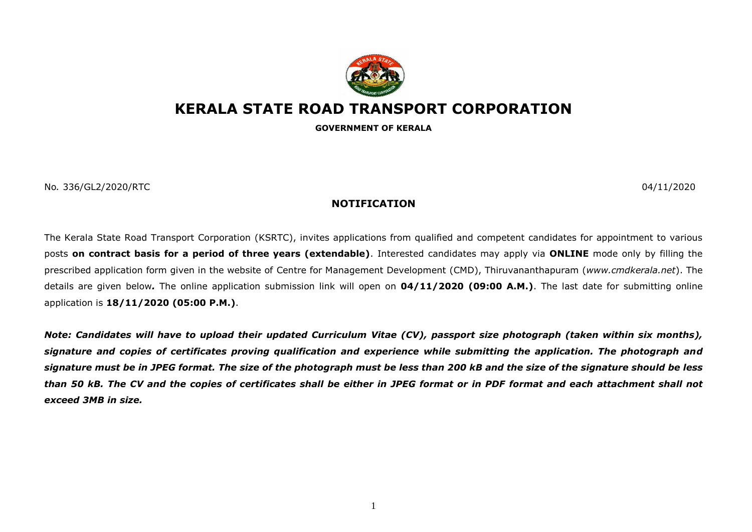

## **KERALA STATE ROAD TRANSPORT CORPORATION**

**GOVERNMENT OF KERALA**

No*.* 336/GL2/2020/RTC 04/11/2020

## **NOTIFICATION**

The Kerala State Road Transport Corporation (KSRTC), invites applications from qualified and competent candidates for appointment to various posts **on contract basis for a period of three years (extendable)**. Interested candidates may apply via **ONLINE** mode only by filling the prescribed application form given in the website of Centre for Management Development (CMD), Thiruvananthapuram (*[www.cmdkerala.net](http://www.cmdkerala.net/)*). The details are given below*.* The online application submission link will open on **04/11/2020 (09:00 A.M.)**. The last date for submitting online application is **18/11/2020 (05:00 P.M.)**.

*Note: Candidates will have to upload their updated Curriculum Vitae (CV), passport size photograph (taken within six months), signature and copies of certificates proving qualification and experience while submitting the application. The photograph and signature must be in JPEG format. The size of the photograph must be less than 200 kB and the size of the signature should be less than 50 kB. The CV and the copies of certificates shall be either in JPEG format or in PDF format and each attachment shall not exceed 3MB in size.*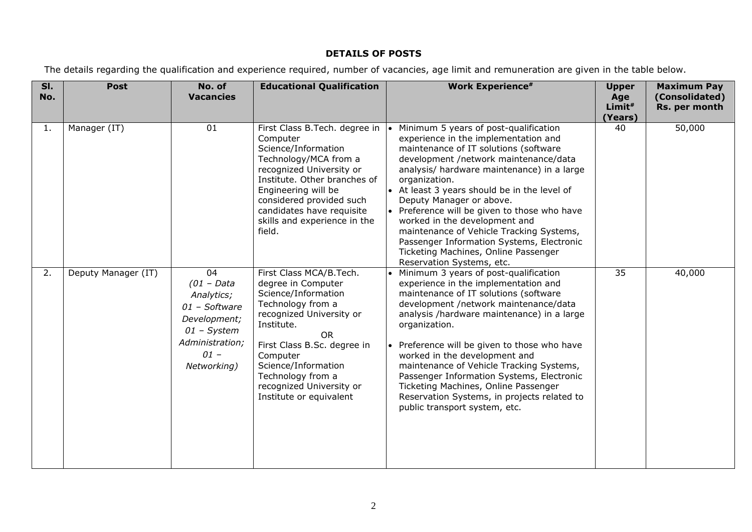## **DETAILS OF POSTS**

The details regarding the qualification and experience required, number of vacancies, age limit and remuneration are given in the table below.

| $\overline{\mathsf{SI}}$ .<br>No. | <b>Post</b>         | No. of<br><b>Vacancies</b>                                                                                                     | <b>Educational Qualification</b>                                                                                                                                                                                                                                                         | <b>Work Experience#</b>                                                                                                                                                                                                                                                                                                                                                                                                                                                                                                                                   | <b>Upper</b><br>Age<br>Limit <sup>#</sup><br>(Years) | <b>Maximum Pay</b><br>(Consolidated)<br>Rs. per month |
|-----------------------------------|---------------------|--------------------------------------------------------------------------------------------------------------------------------|------------------------------------------------------------------------------------------------------------------------------------------------------------------------------------------------------------------------------------------------------------------------------------------|-----------------------------------------------------------------------------------------------------------------------------------------------------------------------------------------------------------------------------------------------------------------------------------------------------------------------------------------------------------------------------------------------------------------------------------------------------------------------------------------------------------------------------------------------------------|------------------------------------------------------|-------------------------------------------------------|
| 1.                                | Manager (IT)        | 01                                                                                                                             | First Class B.Tech. degree in<br>Computer<br>Science/Information<br>Technology/MCA from a<br>recognized University or<br>Institute. Other branches of<br>Engineering will be<br>considered provided such<br>candidates have requisite<br>skills and experience in the<br>field.          | Minimum 5 years of post-qualification<br>experience in the implementation and<br>maintenance of IT solutions (software<br>development /network maintenance/data<br>analysis/ hardware maintenance) in a large<br>organization.<br>• At least 3 years should be in the level of<br>Deputy Manager or above.<br>• Preference will be given to those who have<br>worked in the development and<br>maintenance of Vehicle Tracking Systems,<br>Passenger Information Systems, Electronic<br>Ticketing Machines, Online Passenger<br>Reservation Systems, etc. | 40                                                   | 50,000                                                |
| 2.                                | Deputy Manager (IT) | 04<br>$(01 - Data$<br>Analytics;<br>01 - Software<br>Development;<br>$01$ - System<br>Administration;<br>$01 -$<br>Networking) | First Class MCA/B.Tech.<br>degree in Computer<br>Science/Information<br>Technology from a<br>recognized University or<br>Institute.<br>OR.<br>First Class B.Sc. degree in<br>Computer<br>Science/Information<br>Technology from a<br>recognized University or<br>Institute or equivalent | Minimum 3 years of post-qualification<br>experience in the implementation and<br>maintenance of IT solutions (software<br>development /network maintenance/data<br>analysis /hardware maintenance) in a large<br>organization.<br>Preference will be given to those who have<br>worked in the development and<br>maintenance of Vehicle Tracking Systems,<br>Passenger Information Systems, Electronic<br>Ticketing Machines, Online Passenger<br>Reservation Systems, in projects related to<br>public transport system, etc.                            | 35                                                   | 40,000                                                |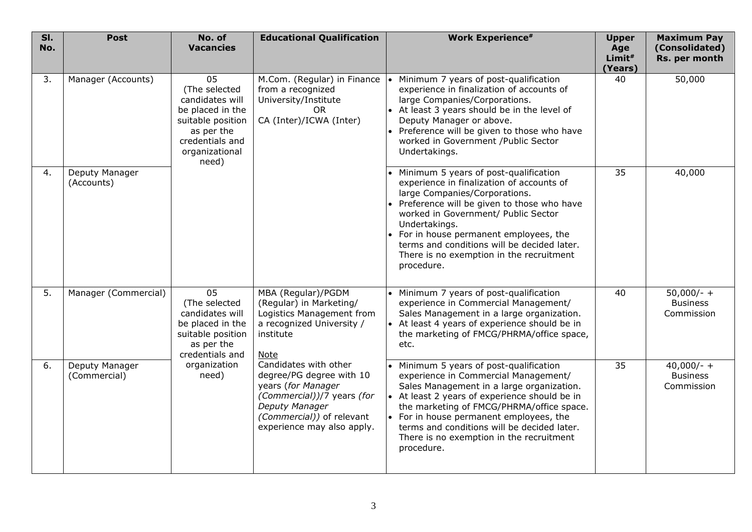| SI.<br>No. | <b>Post</b>                    | No. of<br><b>Vacancies</b>                                                                                                                  | <b>Educational Qualification</b>                                                                                                                                                   | <b>Work Experience#</b>                                                                                                                                                                                                                                                                                                                                                           | <b>Upper</b><br>Age<br>Limit#<br>(Years) | <b>Maximum Pay</b><br>(Consolidated)<br>Rs. per month |
|------------|--------------------------------|---------------------------------------------------------------------------------------------------------------------------------------------|------------------------------------------------------------------------------------------------------------------------------------------------------------------------------------|-----------------------------------------------------------------------------------------------------------------------------------------------------------------------------------------------------------------------------------------------------------------------------------------------------------------------------------------------------------------------------------|------------------------------------------|-------------------------------------------------------|
| 3.         | Manager (Accounts)             | 05<br>(The selected<br>candidates will<br>be placed in the<br>suitable position<br>as per the<br>credentials and<br>organizational<br>need) | M.Com. (Regular) in Finance<br>from a recognized<br>University/Institute<br><b>OR</b><br>CA (Inter)/ICWA (Inter)                                                                   | Minimum 7 years of post-qualification<br>experience in finalization of accounts of<br>large Companies/Corporations.<br>• At least 3 years should be in the level of<br>Deputy Manager or above.<br>• Preference will be given to those who have<br>worked in Government / Public Sector<br>Undertakings.                                                                          | 40                                       | 50,000                                                |
| 4.         | Deputy Manager<br>(Accounts)   |                                                                                                                                             |                                                                                                                                                                                    | • Minimum 5 years of post-qualification<br>experience in finalization of accounts of<br>large Companies/Corporations.<br>• Preference will be given to those who have<br>worked in Government/ Public Sector<br>Undertakings.<br>• For in house permanent employees, the<br>terms and conditions will be decided later.<br>There is no exemption in the recruitment<br>procedure. | 35                                       | 40,000                                                |
| 5.         | Manager (Commercial)           | 05<br>(The selected<br>candidates will<br>be placed in the<br>suitable position<br>as per the<br>credentials and<br>organization<br>need)   | MBA (Regular)/PGDM<br>(Regular) in Marketing/<br>Logistics Management from<br>a recognized University /<br>institute<br>Note                                                       | Minimum 7 years of post-qualification<br>experience in Commercial Management/<br>Sales Management in a large organization.<br>• At least 4 years of experience should be in<br>the marketing of FMCG/PHRMA/office space,<br>etc.                                                                                                                                                  | 40                                       | $50,000/- +$<br><b>Business</b><br>Commission         |
| 6.         | Deputy Manager<br>(Commercial) |                                                                                                                                             | Candidates with other<br>degree/PG degree with 10<br>years (for Manager<br>(Commercial))/7 years (for<br>Deputy Manager<br>(Commercial)) of relevant<br>experience may also apply. | Minimum 5 years of post-qualification<br>experience in Commercial Management/<br>Sales Management in a large organization.<br>• At least 2 years of experience should be in<br>the marketing of FMCG/PHRMA/office space.<br>• For in house permanent employees, the<br>terms and conditions will be decided later.<br>There is no exemption in the recruitment<br>procedure.      | 35                                       | $40,000/- +$<br><b>Business</b><br>Commission         |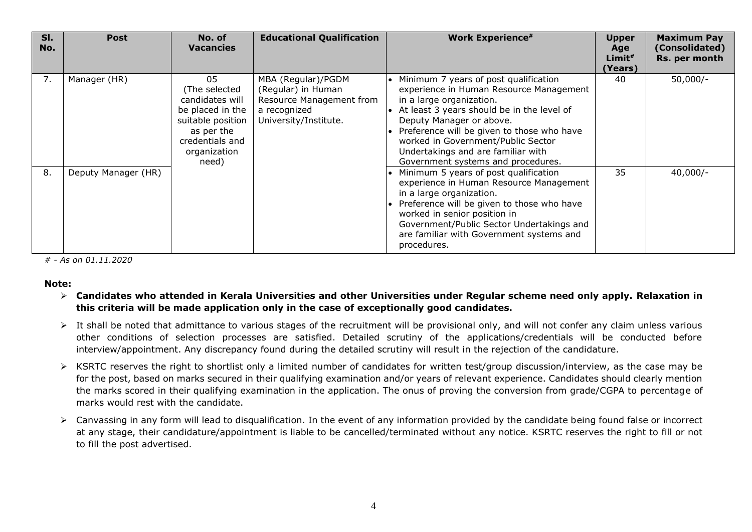| SI.<br>No. | <b>Post</b>         | No. of<br><b>Vacancies</b>                                                                                                                | <b>Educational Qualification</b>                                                                              | <b>Work Experience#</b>                                                                                                                                                                                                                                                                                                                                              | <b>Upper</b><br>Age<br>Limit <sup>#</sup><br>(Years) | <b>Maximum Pay</b><br>(Consolidated)<br>Rs. per month |
|------------|---------------------|-------------------------------------------------------------------------------------------------------------------------------------------|---------------------------------------------------------------------------------------------------------------|----------------------------------------------------------------------------------------------------------------------------------------------------------------------------------------------------------------------------------------------------------------------------------------------------------------------------------------------------------------------|------------------------------------------------------|-------------------------------------------------------|
| 7.         | Manager (HR)        | 05<br>(The selected<br>candidates will<br>be placed in the<br>suitable position<br>as per the<br>credentials and<br>organization<br>need) | MBA (Regular)/PGDM<br>(Regular) in Human<br>Resource Management from<br>a recognized<br>University/Institute. | • Minimum 7 years of post qualification<br>experience in Human Resource Management<br>in a large organization.<br>$\bullet$ At least 3 years should be in the level of<br>Deputy Manager or above.<br>• Preference will be given to those who have<br>worked in Government/Public Sector<br>Undertakings and are familiar with<br>Government systems and procedures. | 40                                                   | $50,000/-$                                            |
| 8.         | Deputy Manager (HR) |                                                                                                                                           |                                                                                                               | • Minimum 5 years of post qualification<br>experience in Human Resource Management<br>in a large organization.<br>• Preference will be given to those who have<br>worked in senior position in<br>Government/Public Sector Undertakings and<br>are familiar with Government systems and<br>procedures.                                                               | 35                                                   | $40,000/-$                                            |

*# - As on 01.11.2020*

## **Note:**

- **Candidates who attended in Kerala Universities and other Universities under Regular scheme need only apply. Relaxation in this criteria will be made application only in the case of exceptionally good candidates.**
- It shall be noted that admittance to various stages of the recruitment will be provisional only, and will not confer any claim unless various other conditions of selection processes are satisfied. Detailed scrutiny of the applications/credentials will be conducted before interview/appointment. Any discrepancy found during the detailed scrutiny will result in the rejection of the candidature.
- KSRTC reserves the right to shortlist only a limited number of candidates for written test/group discussion/interview, as the case may be for the post, based on marks secured in their qualifying examination and/or years of relevant experience. Candidates should clearly mention the marks scored in their qualifying examination in the application. The onus of proving the conversion from grade/CGPA to percentage of marks would rest with the candidate.
- Canvassing in any form will lead to disqualification. In the event of any information provided by the candidate being found false or incorrect at any stage, their candidature/appointment is liable to be cancelled/terminated without any notice. KSRTC reserves the right to fill or not to fill the post advertised.